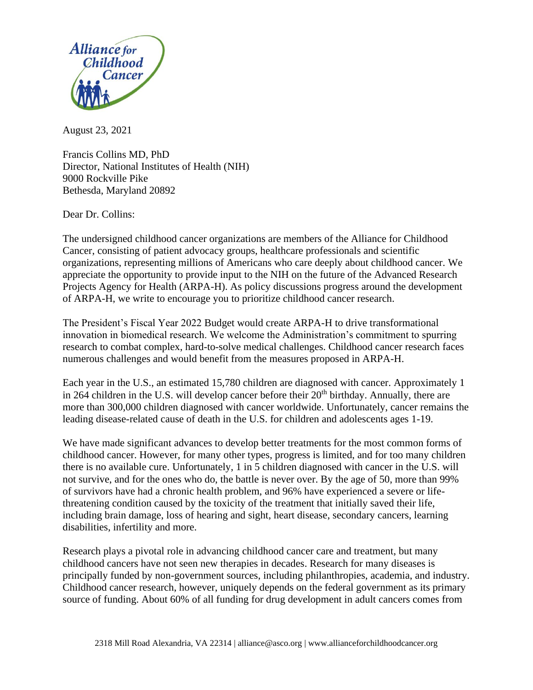

August 23, 2021

Francis Collins MD, PhD Director, National Institutes of Health (NIH) 9000 Rockville Pike Bethesda, Maryland 20892

Dear Dr. Collins:

The undersigned childhood cancer organizations are members of the Alliance for Childhood Cancer, consisting of patient advocacy groups, healthcare professionals and scientific organizations, representing millions of Americans who care deeply about childhood cancer. We appreciate the opportunity to provide input to the NIH on the future of the Advanced Research Projects Agency for Health (ARPA-H). As policy discussions progress around the development of ARPA-H, we write to encourage you to prioritize childhood cancer research.

The President's Fiscal Year 2022 Budget would create ARPA-H to drive transformational innovation in biomedical research. We welcome the Administration's commitment to spurring research to combat complex, hard-to-solve medical challenges. Childhood cancer research faces numerous challenges and would benefit from the measures proposed in ARPA-H.

Each year in the U.S., an estimated 15,780 children are diagnosed with cancer. Approximately 1 in 264 children in the U.S. will develop cancer before their  $20<sup>th</sup>$  birthday. Annually, there are more than 300,000 children diagnosed with cancer worldwide. Unfortunately, cancer remains the leading disease-related cause of death in the U.S. for children and adolescents ages 1-19.

We have made significant advances to develop better treatments for the most common forms of childhood cancer. However, for many other types, progress is limited, and for too many children there is no available cure. Unfortunately, 1 in 5 children diagnosed with cancer in the U.S. will not survive, and for the ones who do, the battle is never over. By the age of 50, more than 99% of survivors have had a chronic health problem, and 96% have experienced a severe or lifethreatening condition caused by the toxicity of the treatment that initially saved their life, including brain damage, loss of hearing and sight, heart disease, secondary cancers, learning disabilities, infertility and more.

Research plays a pivotal role in advancing childhood cancer care and treatment, but many childhood cancers have not seen new therapies in decades. Research for many diseases is principally funded by non-government sources, including philanthropies, academia, and industry. Childhood cancer research, however, uniquely depends on the federal government as its primary source of funding. About 60% of all funding for drug development in adult cancers comes from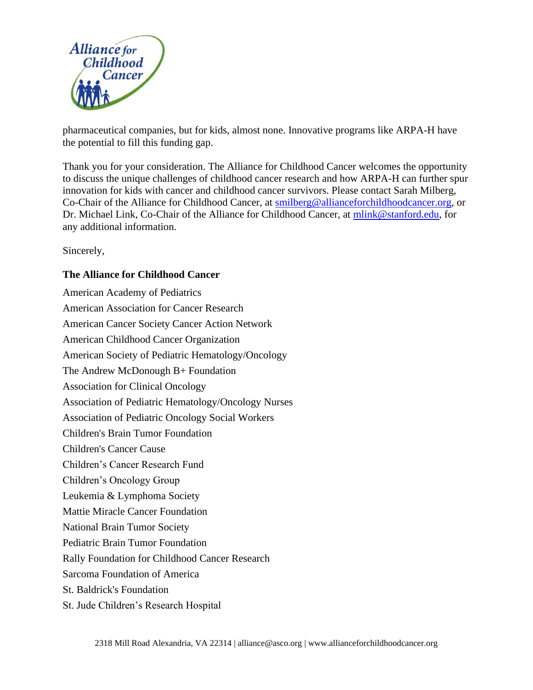

pharmaceutical companies, but for kids, almost none. Innovative programs like ARPA-H have the potential to fill this funding gap.

Thank you for your consideration. The Alliance for Childhood Cancer welcomes the opportunity to discuss the unique challenges of childhood cancer research and how ARPA-H can further spur innovation for kids with cancer and childhood cancer survivors. Please contact Sarah Milberg, Co-Chair of the Alliance for Childhood Cancer, at [smilberg@allianceforchildhoodcancer.org,](mailto:smilberg@allianceforchildhoodcancer.org) or Dr. Michael Link, Co-Chair of the Alliance for Childhood Cancer, at [mlink@stanford.edu,](mailto:mlink@stanford.edu) for any additional information.

Sincerely,

## **The Alliance for Childhood Cancer**

American Academy of Pediatrics American Association for Cancer Research American Cancer Society Cancer Action Network American Childhood Cancer Organization American Society of Pediatric Hematology/Oncology The Andrew McDonough B+ Foundation Association for Clinical Oncology Association of Pediatric Hematology/Oncology Nurses Association of Pediatric Oncology Social Workers Children's Brain Tumor Foundation Children's Cancer Cause Children's Cancer Research Fund Children's Oncology Group Leukemia & Lymphoma Society Mattie Miracle Cancer Foundation National Brain Tumor Society Pediatric Brain Tumor Foundation Rally Foundation for Childhood Cancer Research Sarcoma Foundation of America St. Baldrick's Foundation St. Jude Children's Research Hospital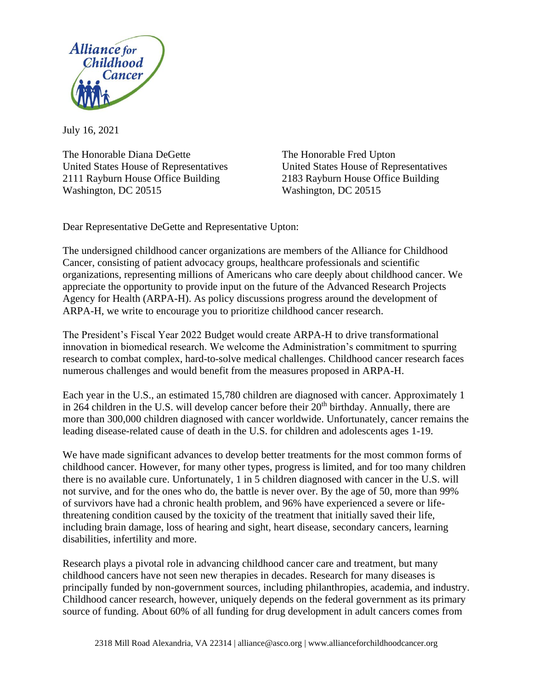

July 16, 2021

The Honorable Diana DeGette The Honorable Fred Upton United States House of Representatives United States House of Representatives 2111 Rayburn House Office Building 2183 Rayburn House Office Building Washington, DC 20515 Washington, DC 20515

Dear Representative DeGette and Representative Upton:

The undersigned childhood cancer organizations are members of the Alliance for Childhood Cancer, consisting of patient advocacy groups, healthcare professionals and scientific organizations, representing millions of Americans who care deeply about childhood cancer. We appreciate the opportunity to provide input on the future of the Advanced Research Projects Agency for Health (ARPA-H). As policy discussions progress around the development of ARPA-H, we write to encourage you to prioritize childhood cancer research.

The President's Fiscal Year 2022 Budget would create ARPA-H to drive transformational innovation in biomedical research. We welcome the Administration's commitment to spurring research to combat complex, hard-to-solve medical challenges. Childhood cancer research faces numerous challenges and would benefit from the measures proposed in ARPA-H.

Each year in the U.S., an estimated 15,780 children are diagnosed with cancer. Approximately 1 in 264 children in the U.S. will develop cancer before their  $20<sup>th</sup>$  birthday. Annually, there are more than 300,000 children diagnosed with cancer worldwide. Unfortunately, cancer remains the leading disease-related cause of death in the U.S. for children and adolescents ages 1-19.

We have made significant advances to develop better treatments for the most common forms of childhood cancer. However, for many other types, progress is limited, and for too many children there is no available cure. Unfortunately, 1 in 5 children diagnosed with cancer in the U.S. will not survive, and for the ones who do, the battle is never over. By the age of 50, more than 99% of survivors have had a chronic health problem, and 96% have experienced a severe or lifethreatening condition caused by the toxicity of the treatment that initially saved their life, including brain damage, loss of hearing and sight, heart disease, secondary cancers, learning disabilities, infertility and more.

Research plays a pivotal role in advancing childhood cancer care and treatment, but many childhood cancers have not seen new therapies in decades. Research for many diseases is principally funded by non-government sources, including philanthropies, academia, and industry. Childhood cancer research, however, uniquely depends on the federal government as its primary source of funding. About 60% of all funding for drug development in adult cancers comes from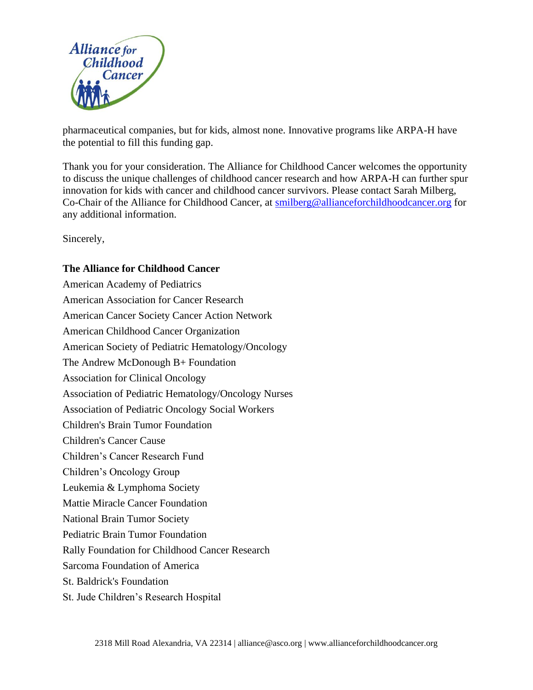

pharmaceutical companies, but for kids, almost none. Innovative programs like ARPA-H have the potential to fill this funding gap.

Thank you for your consideration. The Alliance for Childhood Cancer welcomes the opportunity to discuss the unique challenges of childhood cancer research and how ARPA-H can further spur innovation for kids with cancer and childhood cancer survivors. Please contact Sarah Milberg, Co-Chair of the Alliance for Childhood Cancer, at [smilberg@allianceforchildhoodcancer.org](mailto:smilberg@allianceforchildhoodcancer.org) for any additional information.

Sincerely,

## **The Alliance for Childhood Cancer**

American Academy of Pediatrics American Association for Cancer Research American Cancer Society Cancer Action Network American Childhood Cancer Organization American Society of Pediatric Hematology/Oncology The Andrew McDonough B+ Foundation Association for Clinical Oncology Association of Pediatric Hematology/Oncology Nurses Association of Pediatric Oncology Social Workers Children's Brain Tumor Foundation Children's Cancer Cause Children's Cancer Research Fund Children's Oncology Group Leukemia & Lymphoma Society Mattie Miracle Cancer Foundation National Brain Tumor Society Pediatric Brain Tumor Foundation Rally Foundation for Childhood Cancer Research Sarcoma Foundation of America St. Baldrick's Foundation St. Jude Children's Research Hospital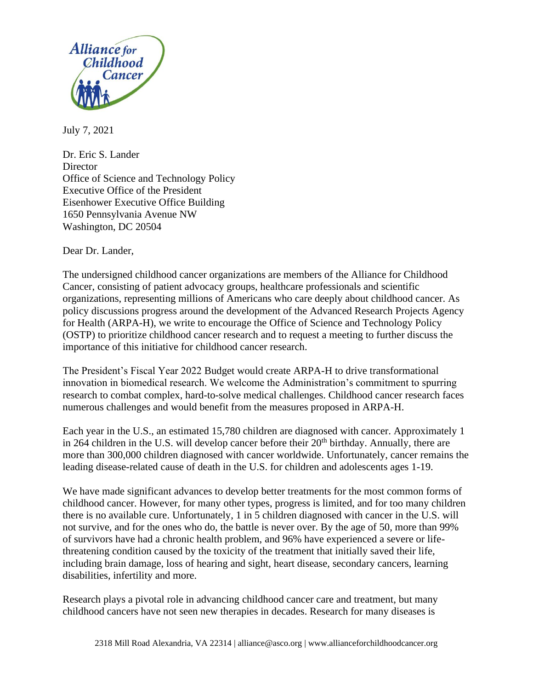![](_page_4_Picture_0.jpeg)

July 7, 2021

Dr. Eric S. Lander **Director** Office of Science and Technology Policy Executive Office of the President Eisenhower Executive Office Building 1650 Pennsylvania Avenue NW Washington, DC 20504

Dear Dr. Lander,

The undersigned childhood cancer organizations are members of the Alliance for Childhood Cancer, consisting of patient advocacy groups, healthcare professionals and scientific organizations, representing millions of Americans who care deeply about childhood cancer. As policy discussions progress around the development of the Advanced Research Projects Agency for Health (ARPA-H), we write to encourage the Office of Science and Technology Policy (OSTP) to prioritize childhood cancer research and to request a meeting to further discuss the importance of this initiative for childhood cancer research.

The President's Fiscal Year 2022 Budget would create ARPA-H to drive transformational innovation in biomedical research. We welcome the Administration's commitment to spurring research to combat complex, hard-to-solve medical challenges. Childhood cancer research faces numerous challenges and would benefit from the measures proposed in ARPA-H.

Each year in the U.S., an estimated 15,780 children are diagnosed with cancer. Approximately 1 in 264 children in the U.S. will develop cancer before their  $20<sup>th</sup>$  birthday. Annually, there are more than 300,000 children diagnosed with cancer worldwide. Unfortunately, cancer remains the leading disease-related cause of death in the U.S. for children and adolescents ages 1-19.

We have made significant advances to develop better treatments for the most common forms of childhood cancer. However, for many other types, progress is limited, and for too many children there is no available cure. Unfortunately, 1 in 5 children diagnosed with cancer in the U.S. will not survive, and for the ones who do, the battle is never over. By the age of 50, more than 99% of survivors have had a chronic health problem, and 96% have experienced a severe or lifethreatening condition caused by the toxicity of the treatment that initially saved their life, including brain damage, loss of hearing and sight, heart disease, secondary cancers, learning disabilities, infertility and more.

Research plays a pivotal role in advancing childhood cancer care and treatment, but many childhood cancers have not seen new therapies in decades. Research for many diseases is